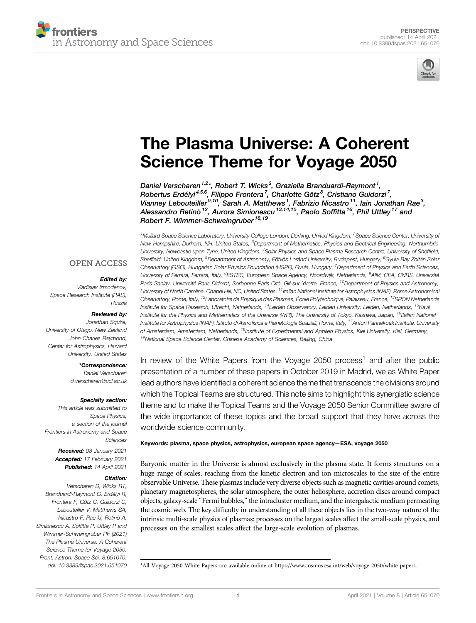



# [The Plasma Universe: A Coherent](https://www.frontiersin.org/articles/10.3389/fspas.2021.651070/full) [Science Theme for Voyage 2050](https://www.frontiersin.org/articles/10.3389/fspas.2021.651070/full)

Daniel Verscharen<sup>1,2</sup>\*, Robert T. Wicks<sup>3</sup>, Graziella Branduardi-Raymont<sup>1</sup>, Robertus Erdélyi<sup>4,5,6</sup>, Filippo Frontera<sup>7</sup>, Charlotte Götz<sup>8</sup>, Cristiano Guidorzi<sup>7</sup>, Vianney Lebouteiller<sup>9,10</sup>, Sarah A. Matthews<sup>1</sup>, Fabrizio Nicastro<sup>11</sup>, lain Jonathan Rae<sup>3</sup>, Alessandro Retinò <sup>12</sup>, Aurora Simionescu <sup>13,14,15</sup>, Paolo Soffitta <sup>16</sup>, Phil Uttley <sup>17</sup> and Robert F. Wimmer-Schweingruber<sup>18,19</sup>

<sup>1</sup>Mullard Space Science Laboratory, University College London, Dorking, United Kingdom, <sup>2</sup>Space Science Center, University o*f* New Hampshire, Durham, NH, United States, <sup>3</sup>Department of Mathematics, Physics and Electrical Engineering, Northumbria University, Newcastle upon Tyne, United Kingdom, <sup>4</sup>Solar Physics and Space Plasma Research Centre, University of Sheffield, Sheffield, United Kingdom, <sup>5</sup>Department of Astronomy, Eötvös Loránd University, Budapest, Hungary, <sup>6</sup>Gyula Bay Zoltán Solar Observatory (GSO), Hungarian Solar Physics Foundation (HSPF), Gyula, Hungary, <sup>7</sup>Department of Physics and Earth Sciences, University of Ferrara, Ferrara, Italy, <sup>8</sup>ESTEC, European Space Agency, Noordwijk, Netherlands, <sup>9</sup>AIM, CEA, CNRS, Université Paris-Saclay, Université Paris Diderot, Sorbonne Paris Cité, Gif-sur-Yvette, France, <sup>10</sup>Department of Physics and Astronomy, University of North Carolina, Chapel Hill, NC, United States, <sup>11</sup>Italian National Institute for Astrophysics (INAF), Rome Astronomical Observatory, Rome, Italy, 12Laboratoire de Physique des Plasmas, École Polytechnique, Palaiseau, France, 13SRON Netherlands Institute for Space Research, Utrecht, Netherlands, <sup>14</sup>Leiden Observatory, Leiden University, Leiden, Netherlands, <sup>15</sup>Kavli Institute for the Physics and Mathematics of the Universe (WPI), The University of Tokyo, Kashiwa, Japan, <sup>16</sup>Italian National Institute for Astrophysics (INAF), Istituto di Astrofisica e Planetologia Spaziali, Rome, Italy, <sup>17</sup>Anton Pannekoek Institute, University of Amsterdam, Amsterdam, Netherlands, <sup>18</sup>Institute of Experimental and Applied Physics, Kiel University, Kiel, Germany, <sup>19</sup>National Space Science Center, Chinese Academy of Sciences, Beijing, China

In review of the White Papers from the Voyage 2050 process<sup>1</sup> and after the public presentation of a number of these papers in October 2019 in Madrid, we as White Paper lead authors have identified a coherent science theme that transcends the divisions around which the Topical Teams are structured. This note aims to highlight this synergistic science theme and to make the Topical Teams and the Voyage 2050 Senior Committee aware of the wide importance of these topics and the broad support that they have across the worldwide science community.

#### Keywords: plasma, space physics, astrophysics, european space agency—ESA, voyage 2050

Baryonic matter in the Universe is almost exclusively in the plasma state. It forms structures on a huge range of scales, reaching from the kinetic electron and ion microscales to the size of the entire observable Universe. These plasmas include very diverse objects such as magnetic cavities around comets, planetary magnetospheres, the solar atmosphere, the outer heliosphere, accretion discs around compact objects, galaxy-scale "Fermi bubbles," the intracluster medium, and the intergalactic medium permeating the cosmic web. The key difficulty in understanding of all these objects lies in the two-way nature of the intrinsic multi-scale physics of plasmas: processes on the largest scales affect the small-scale physics, and processes on the smallest scales affect the large-scale evolution of plasmas.

**OPEN ACCESS** 

### Edited by:

Vladislav Izmodenov, Space Research Institute (RAS), Russia

#### Reviewed by:

Jonathan Squire, University of Otago, New Zealand John Charles Raymond, Center for Astrophysics, Harvard University, United States

> \*Correspondence: Daniel Verscharen [d.verscharen@ucl.ac.uk](mailto:d.verscharen@ucl.ac.uk)

> > Specialty section:

This article was submitted to Space Physics, a section of the journal Frontiers in Astronomy and Space Sciences

> Received: 08 January 2021 Accepted: 17 February 2021 Published: 14 April 2021

### Citation:

Verscharen D, Wicks RT, Branduardi-Raymont G, Erdélyi R, Frontera F, Götz C, Guidorzi C, Lebouteiller V, Matthews SA, Nicastro E, Rae IJ, Retinò A Simionescu A, Soffitta P, Uttley P and Wimmer-Schweingruber RF (2021) The Plasma Universe: A Coherent Science Theme for Voyage 2050. Front. Astron. Space Sci. 8:651070. doi: [10.3389/fspas.2021.651070](https://doi.org/10.3389/fspas.2021.651070) <sup>1</sup>

<sup>1</sup>All Voyage 2050 White Papers are available online at [https://www.cosmos.esa.int/web/voyage-2050/white-papers.](https://www.cosmos.esa.int/web/voyage-2050/white-papers)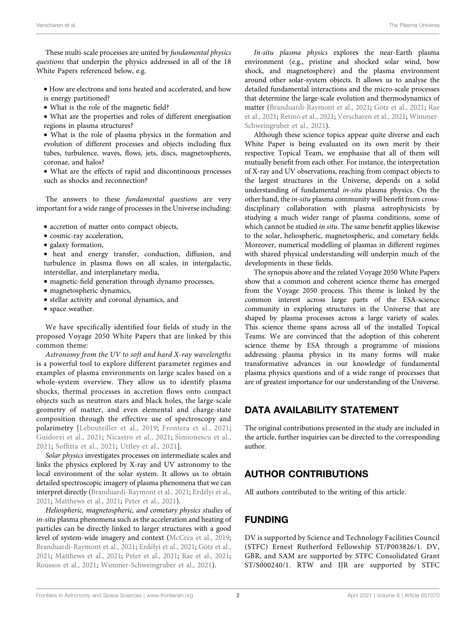These multi-scale processes are united by fundamental physics questions that underpin the physics addressed in all of the 18 White Papers referenced below, e.g.

- How are electrons and ions heated and accelerated, and how is energy partitioned?
- What is the role of the magnetic field?

• What are the properties and roles of different energisation regions in plasma structures?

• What is the role of plasma physics in the formation and evolution of different processes and objects including flux tubes, turbulence, waves, flows, jets, discs, magnetospheres, coronae, and halos?

• What are the effects of rapid and discontinuous processes such as shocks and reconnection?

The answers to these fundamental questions are very important for a wide range of processes in the Universe including:

- accretion of matter onto compact objects,
- cosmic-ray acceleration,
- galaxy formation,

• heat and energy transfer, conduction, diffusion, and turbulence in plasma flows on all scales, in intergalactic, interstellar, and interplanetary media,

- magnetic-field generation through dynamo processes,
- magnetospheric dynamics,
- stellar activity and coronal dynamics, and
- space weather.

We have specifically identified four fields of study in the proposed Voyage 2050 White Papers that are linked by this common theme:

Astronomy from the UV to soft and hard X-ray wavelengths is a powerful tool to explore different parameter regimes and examples of plasma environments on large scales based on a whole-system overview. They allow us to identify plasma shocks, thermal processes in accretion flows onto compact objects such as neutron stars and black holes, the large-scale geometry of matter, and even elemental and charge-state composition through the effective use of spectroscopy and polarimetry [\[Lebouteiller et al., 2019](#page-2-0); [Frontera et al., 2021](#page-2-1); [Guidorzi et al., 2021;](#page-2-0) [Nicastro et al., 2021;](#page-2-2) [Simionescu et al.,](#page-2-3) [2021](#page-2-3); Soffi[tta et al., 2021;](#page-2-4) [Uttley et al., 2021\]](#page-2-5).

Solar physics investigates processes on intermediate scales and links the physics explored by X-ray and UV astronomy to the local environment of the solar system. It allows us to obtain detailed spectroscopic imagery of plasma phenomena that we can interpret directly ([Branduardi-Raymont et al., 2021;](#page-2-6) [Erdélyi et al.,](#page-2-7) [2021](#page-2-7); [Matthews et al., 2021;](#page-2-8) [Peter et al., 2021\)](#page-2-9).

Heliospheric, magnetospheric, and cometary physics studies of in-situ plasma phenomena such as the acceleration and heating of particles can be directly linked to larger structures with a good level of system-wide imagery and context ([McCrea et al., 2019](#page-2-10); [Branduardi-Raymont et al., 2021;](#page-2-6) [Erdélyi et al., 2021;](#page-2-7) [Götz et al.,](#page-2-11) [2021](#page-2-11); [Matthews et al., 2021;](#page-2-8) [Peter et al., 2021](#page-2-9); [Rae et al., 2021](#page-2-12); [Roussos et al., 2021;](#page-2-13) [Wimmer-Schweingruber et al., 2021](#page-2-14)).

In-situ plasma physics explores the near-Earth plasma environment (e.g., pristine and shocked solar wind, bow shock, and magnetosphere) and the plasma environment around other solar-system objects. It allows us to analyse the detailed fundamental interactions and the micro-scale processes that determine the large-scale evolution and thermodynamics of matter [\(Branduardi-Raymont et al., 2021](#page-2-6); [Götz et al., 2021;](#page-2-11) [Rae](#page-2-12) [et al., 2021](#page-2-12); [Retinò et al., 2021;](#page-2-15) [Verscharen et al., 2021;](#page-2-16) [Wimmer-](#page-2-14)[Schweingruber et al., 2021](#page-2-14)).

Although these science topics appear quite diverse and each White Paper is being evaluated on its own merit by their respective Topical Team, we emphasise that all of them will mutually benefit from each other. For instance, the interpretation of X-ray and UV observations, reaching from compact objects to the largest structures in the Universe, depends on a solid understanding of fundamental in-situ plasma physics. On the other hand, the in-situ plasma community will benefit from crossdisciplinary collaboration with plasma astrophysicists by studying a much wider range of plasma conditions, some of which cannot be studied in situ. The same benefit applies likewise to the solar, heliospheric, magnetospheric, and cometary fields. Moreover, numerical modelling of plasmas in different regimes with shared physical understanding will underpin much of the developments in these fields.

The synopsis above and the related Voyage 2050 White Papers show that a common and coherent science theme has emerged from the Voyage 2050 process. This theme is linked by the common interest across large parts of the ESA-science community in exploring structures in the Universe that are shaped by plasma processes across a large variety of scales. This science theme spans across all of the installed Topical Teams. We are convinced that the adoption of this coherent science theme by ESA through a programme of missions addressing plasma physics in its many forms will make transformative advances in our knowledge of fundamental plasma physics questions and of a wide range of processes that are of greatest importance for our understanding of the Universe.

# DATA AVAILABILITY STATEMENT

The original contributions presented in the study are included in the article, further inquiries can be directed to the corresponding author.

## AUTHOR CONTRIBUTIONS

All authors contributed to the writing of this article.

# FUNDING

DV is supported by Science and Technology Facilities Council (STFC) Ernest Rutherford Fellowship ST/P003826/1. DV, GBR, and SAM are supported by STFC Consolidated Grant ST/S000240/1. RTW and IJR are supported by STFC